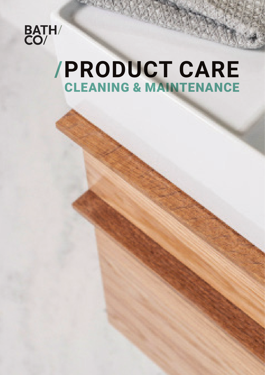

## **/PRODUCT CARE** CLEANING & MAINTENANCE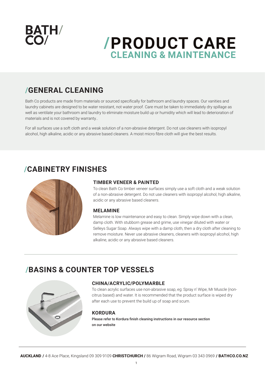

## **/PRODUCT CARE CLEANING & MAINTENANCE**

## **/GENERAL CLEANING**

Bath Co products are made from materials or sourced specifically for bathroom and laundry spaces. Our vanities and laundry cabinets are designed to be water resistant, not water proof. Care must be taken to immediately dry spillage as well as ventilate your bathroom and laundry to eliminate moisture build up or humidity which will lead to deterioration of materials and is not covered by warranty..

For all surfaces use a soft cloth and a weak solution of a non-abrasive detergent. Do not use cleaners with isopropyl alcohol, high alkaline, acidic or any abrasive based cleaners. A moist micro fibre cloth will give the best results.

## **/CABINETRY FINISHES**



#### **TIMBER VENEER & PAINTED**

To clean Bath Co timber veneer surfaces simply use a soft cloth and a weak solution of a non-abrasive detergent. Do not use cleaners with isopropyl alcohol, high alkaline, acidic or any abrasive based cleaners.

#### **MELAMINE**

Melamine is low maintenance and easy to clean. Simply wipe down with a clean, damp cloth. With stubborn grease and grime, use vinegar diluted with water or Selleys Sugar Soap. Always wipe with a damp cloth, then a dry cloth after cleaning to remove moisture. Never use abrasive cleaners, cleaners with isopropyl alcohol, high alkaline, acidic or any abrasive based cleaners.

## **/BASINS & COUNTER TOP VESSELS**



#### **CHINA/ACRYLIC/POLYMARBLE**

To clean acrylic surfaces use non-abrasive soap, eg: Spray n' Wipe, Mr Muscle (noncitrus based) and water. It is recommended that the product surface is wiped dry after each use to prevent the build up of soap and scum.

#### **KORDURA**

Please refer to Kordura finish cleaning instructions in our resource section on our website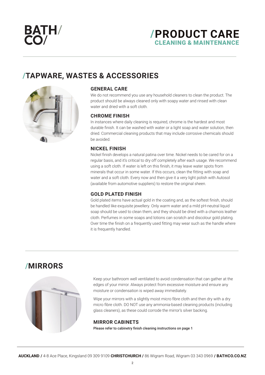

## **/PRODUCT CARE**  CLEANING & MAINTENANCE

## **/TAPWARE, WASTES & ACCESSORIES**



#### **GENERAL CARE**

We do not recommend you use any household cleaners to clean the product. The product should be always cleaned only with soapy water and rinsed with clean water and dried with a soft cloth.

#### **CHROME FINISH**

In instances where daily cleaning is required, chrome is the hardest and most durable finish. It can be washed with water or a light soap and water solution, then dried. Commercial cleaning products that may include corrosive chemicals should be avoided.

#### **NICKEL FINISH**

Nickel finish develops a natural patina over time. Nickel needs to be cared for on a regular basis, and it's critical to dry off completely after each usage. We recommend using a soft cloth. If water is left on this finish, it may leave water spots from minerals that occur in some water. If this occurs, clean the fitting with soap and water and a soft cloth. Every now and then give it a very light polish with Autosol (available from automotive suppliers) to restore the original sheen.

#### **GOLD PLATED FINISH**

Gold plated items have actual gold in the coating and, as the softest finish, should be handled like exquisite jewellery. Only warm water and a mild pH-neutral liquid soap should be used to clean them, and they should be dried with a chamois leather cloth. Perfumes in some soaps and lotions can scratch and discolour gold plating. Over time the finish on a frequently used fitting may wear such as the handle where it is frequently handled.

### **/MIRRORS**



Keep your bathroom well ventilated to avoid condensation that can gather at the edges of your mirror. Always protect from excessive moisture and ensure any moisture or condensation is wiped away immediately.

Wipe your mirrors with a slightly moist micro fibre cloth and then dry with a dry micro fibre cloth. DO NOT use any ammonia-based cleaning products (including glass cleaners), as these could corrode the mirror's silver backing.

#### **MIRROR CABINETS**  Please refer to cabinetry finish cleaning instructions on page 1

**AUCKLAND /** 4-8 Ace Place, Kingsland 09 309 9109 **CHRISTCHURCH /** 86 Wigram Road, Wigram 03 343 0969 **/ BATHCO.CO.NZ**